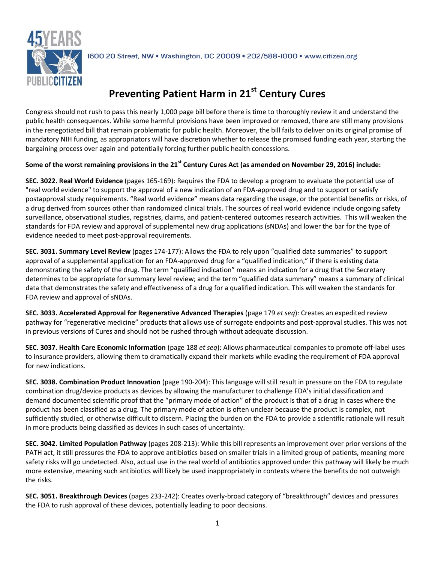

1600 20 Street, NW . Washington, DC 20009 . 202/588-1000 . www.citizen.org

## **Preventing Patient Harm in 21st Century Cures**

Congress should not rush to pass this nearly 1,000 page bill before there is time to thoroughly review it and understand the public health consequences. While some harmful provisions have been improved or removed, there are still many provisions in the renegotiated bill that remain problematic for public health. Moreover, the bill fails to deliver on its original promise of mandatory NIH funding, as appropriators will have discretion whether to release the promised funding each year, starting the bargaining process over again and potentially forcing further public health concessions.

## **Some of the worst remaining provisions in the 21st Century Cures Act (as amended on November 29, 2016) include:**

**SEC. 3022. Real World Evidence** (pages 165-169): Requires the FDA to develop a program to evaluate the potential use of "real world evidence" to support the approval of a new indication of an FDA-approved drug and to support or satisfy postapproval study requirements. "Real world evidence" means data regarding the usage, or the potential benefits or risks, of a drug derived from sources other than randomized clinical trials. The sources of real world evidence include ongoing safety surveillance, observational studies, registries, claims, and patient-centered outcomes research activities. This will weaken the standards for FDA review and approval of supplemental new drug applications (sNDAs) and lower the bar for the type of evidence needed to meet post-approval requirements.

**SEC. 3031. Summary Level Review** (pages 174-177): Allows the FDA to rely upon "qualified data summaries" to support approval of a supplemental application for an FDA-approved drug for a "qualified indication," if there is existing data demonstrating the safety of the drug. The term "qualified indication" means an indication for a drug that the Secretary determines to be appropriate for summary level review; and the term "qualified data summary" means a summary of clinical data that demonstrates the safety and effectiveness of a drug for a qualified indication. This will weaken the standards for FDA review and approval of sNDAs.

**SEC. 3033. Accelerated Approval for Regenerative Advanced Therapies** (page 179 *et seq*): Creates an expedited review pathway for "regenerative medicine" products that allows use of surrogate endpoints and post-approval studies. This was not in previous versions of Cures and should not be rushed through without adequate discussion.

**SEC. 3037. Health Care Economic Information** (page 188 *et seq*): Allows pharmaceutical companies to promote off-label uses to insurance providers, allowing them to dramatically expand their markets while evading the requirement of FDA approval for new indications.

**SEC. 3038. Combination Product Innovation** (page 190-204): This language will still result in pressure on the FDA to regulate combination drug/device products as devices by allowing the manufacturer to challenge FDA's initial classification and demand documented scientific proof that the "primary mode of action" of the product is that of a drug in cases where the product has been classified as a drug. The primary mode of action is often unclear because the product is complex, not sufficiently studied, or otherwise difficult to discern. Placing the burden on the FDA to provide a scientific rationale will result in more products being classified as devices in such cases of uncertainty.

**SEC. 3042. Limited Population Pathway** (pages 208-213): While this bill represents an improvement over prior versions of the PATH act, it still pressures the FDA to approve antibiotics based on smaller trials in a limited group of patients, meaning more safety risks will go undetected. Also, actual use in the real world of antibiotics approved under this pathway will likely be much more extensive, meaning such antibiotics will likely be used inappropriately in contexts where the benefits do not outweigh the risks.

**SEC. 3051. Breakthrough Devices** (pages 233-242): Creates overly-broad category of "breakthrough" devices and pressures the FDA to rush approval of these devices, potentially leading to poor decisions.